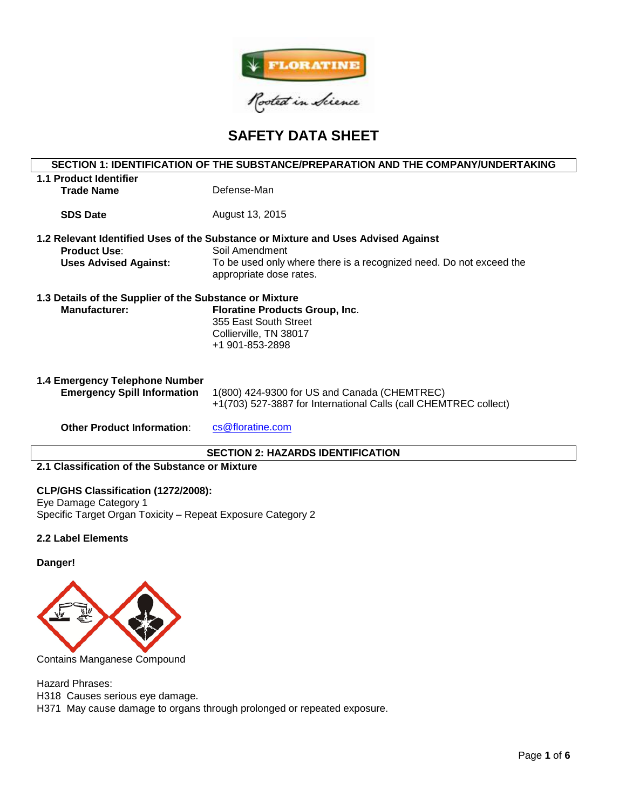

# **SAFETY DATA SHEET**

# **SECTION 1: IDENTIFICATION OF THE SUBSTANCE/PREPARATION AND THE COMPANY/UNDERTAKING**

| 1.1 Product Identifier<br><b>Trade Name</b>                                     | Defense-Man                                                                                                                                                                                           |  |  |  |
|---------------------------------------------------------------------------------|-------------------------------------------------------------------------------------------------------------------------------------------------------------------------------------------------------|--|--|--|
| <b>SDS Date</b>                                                                 | August 13, 2015                                                                                                                                                                                       |  |  |  |
| <b>Product Use:</b><br><b>Uses Advised Against:</b>                             | 1.2 Relevant Identified Uses of the Substance or Mixture and Uses Advised Against<br>Soil Amendment<br>To be used only where there is a recognized need. Do not exceed the<br>appropriate dose rates. |  |  |  |
| 1.3 Details of the Supplier of the Substance or Mixture<br><b>Manufacturer:</b> | <b>Floratine Products Group, Inc.</b><br>355 East South Street<br>Collierville, TN 38017<br>+1 901-853-2898                                                                                           |  |  |  |
| 1.4 Emergency Telephone Number<br><b>Emergency Spill Information</b>            | 1(800) 424-9300 for US and Canada (CHEMTREC)<br>+1(703) 527-3887 for International Calls (call CHEMTREC collect)                                                                                      |  |  |  |

**Other Product Information:** [cs@floratine.com](mailto:cs@floratine.com)

# **SECTION 2: HAZARDS IDENTIFICATION**

### **2.1 Classification of the Substance or Mixture**

### **CLP/GHS Classification (1272/2008):**

Eye Damage Category 1 Specific Target Organ Toxicity – Repeat Exposure Category 2

### **2.2 Label Elements**

### **Danger!**



Contains Manganese Compound

Hazard Phrases:

H318 Causes serious eye damage.

H371 May cause damage to organs through prolonged or repeated exposure.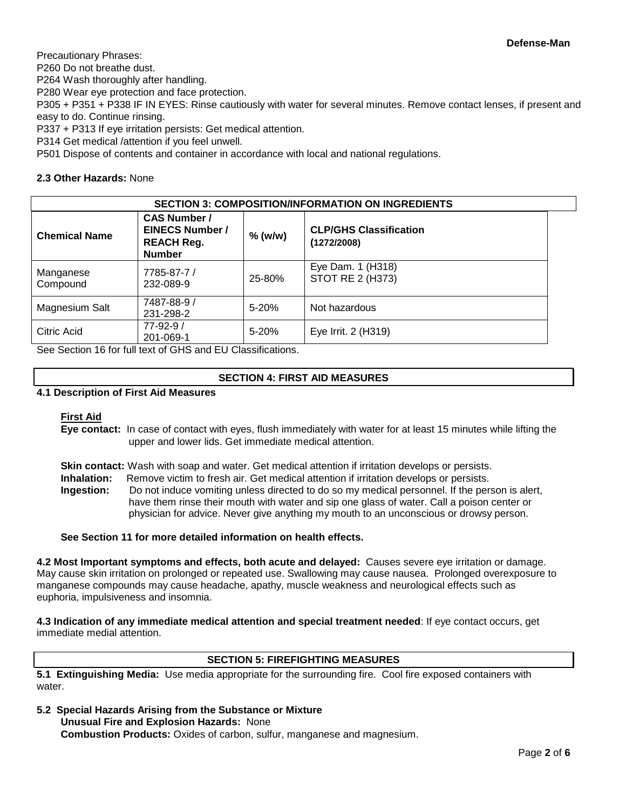Precautionary Phrases:

P260 Do not breathe dust.

P264 Wash thoroughly after handling.

P280 Wear eye protection and face protection.

P305 + P351 + P338 IF IN EYES: Rinse cautiously with water for several minutes. Remove contact lenses, if present and easy to do. Continue rinsing.

P337 + P313 If eye irritation persists: Get medical attention.

P314 Get medical /attention if you feel unwell.

P501 Dispose of contents and container in accordance with local and national regulations.

### **2.3 Other Hazards:** None

| <b>SECTION 3: COMPOSITION/INFORMATION ON INGREDIENTS</b> |                                                                                     |           |                                              |  |  |  |
|----------------------------------------------------------|-------------------------------------------------------------------------------------|-----------|----------------------------------------------|--|--|--|
| <b>Chemical Name</b>                                     | <b>CAS Number /</b><br><b>EINECS Number /</b><br><b>REACH Reg.</b><br><b>Number</b> | % (w/w)   | <b>CLP/GHS Classification</b><br>(1272/2008) |  |  |  |
| Manganese<br>Compound                                    | 7785-87-7 /<br>232-089-9                                                            | 25-80%    | Eye Dam. 1 (H318)<br>STOT RE 2 (H373)        |  |  |  |
| Magnesium Salt                                           | 7487-88-9 /<br>231-298-2                                                            | $5 - 20%$ | Not hazardous                                |  |  |  |
| Citric Acid                                              | $77 - 92 - 9/$<br>201-069-1                                                         | $5 - 20%$ | Eye Irrit. 2 (H319)                          |  |  |  |

See Section 16 for full text of GHS and EU Classifications.

# **SECTION 4: FIRST AID MEASURES**

### **4.1 Description of First Aid Measures**

### **First Aid**

**Eye contact:** In case of contact with eyes, flush immediately with water for at least 15 minutes while lifting the upper and lower lids. Get immediate medical attention.

**Skin contact:** Wash with soap and water. Get medical attention if irritation develops or persists.

**Inhalation:** Remove victim to fresh air. Get medical attention if irritation develops or persists.

**Ingestion:** Do not induce vomiting unless directed to do so my medical personnel. If the person is alert, have them rinse their mouth with water and sip one glass of water. Call a poison center or physician for advice. Never give anything my mouth to an unconscious or drowsy person.

### **See Section 11 for more detailed information on health effects.**

**4.2 Most Important symptoms and effects, both acute and delayed:** Causes severe eye irritation or damage. May cause skin irritation on prolonged or repeated use. Swallowing may cause nausea. Prolonged overexposure to manganese compounds may cause headache, apathy, muscle weakness and neurological effects such as euphoria, impulsiveness and insomnia.

**4.3 Indication of any immediate medical attention and special treatment needed**: If eye contact occurs, get immediate medial attention.

### **SECTION 5: FIREFIGHTING MEASURES**

**5.1 Extinguishing Media:** Use media appropriate for the surrounding fire. Cool fire exposed containers with water

**5.2 Special Hazards Arising from the Substance or Mixture Unusual Fire and Explosion Hazards:** None

**Combustion Products:** Oxides of carbon, sulfur, manganese and magnesium.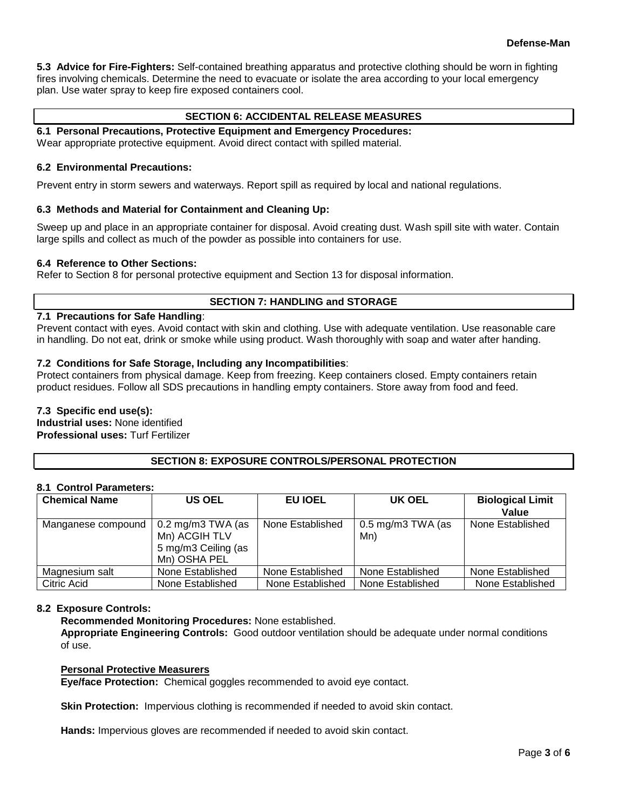**5.3 Advice for Fire-Fighters:** Self-contained breathing apparatus and protective clothing should be worn in fighting fires involving chemicals. Determine the need to evacuate or isolate the area according to your local emergency plan. Use water spray to keep fire exposed containers cool.

# **SECTION 6: ACCIDENTAL RELEASE MEASURES**

**6.1 Personal Precautions, Protective Equipment and Emergency Procedures:**  Wear appropriate protective equipment. Avoid direct contact with spilled material.

### **6.2 Environmental Precautions:**

Prevent entry in storm sewers and waterways. Report spill as required by local and national regulations.

## **6.3 Methods and Material for Containment and Cleaning Up:**

Sweep up and place in an appropriate container for disposal. Avoid creating dust. Wash spill site with water. Contain large spills and collect as much of the powder as possible into containers for use.

# **6.4 Reference to Other Sections:**

Refer to Section 8 for personal protective equipment and Section 13 for disposal information.

### **SECTION 7: HANDLING and STORAGE**

### **7.1 Precautions for Safe Handling**:

Prevent contact with eyes. Avoid contact with skin and clothing. Use with adequate ventilation. Use reasonable care in handling. Do not eat, drink or smoke while using product. Wash thoroughly with soap and water after handing.

## **7.2 Conditions for Safe Storage, Including any Incompatibilities**:

Protect containers from physical damage. Keep from freezing. Keep containers closed. Empty containers retain product residues. Follow all SDS precautions in handling empty containers. Store away from food and feed.

### **7.3 Specific end use(s): Industrial uses:** None identified

**Professional uses:** Turf Fertilizer

# **SECTION 8: EXPOSURE CONTROLS/PERSONAL PROTECTION**

### **8.1 Control Parameters:**

| <b>Chemical Name</b> | <b>US OEL</b>                                                             | EU IOEL          | UK OEL                              | <b>Biological Limit</b><br>Value |
|----------------------|---------------------------------------------------------------------------|------------------|-------------------------------------|----------------------------------|
| Manganese compound   | 0.2 mg/m3 TWA (as<br>Mn) ACGIH TLV<br>5 mg/m3 Ceiling (as<br>Mn) OSHA PEL | None Established | $0.5 \text{ mg/m}$ 3 TWA (as<br>Mn) | None Established                 |
| Magnesium salt       | None Established                                                          | None Established | None Established                    | None Established                 |
| Citric Acid          | None Established                                                          | None Established | None Established                    | None Established                 |

### **8.2 Exposure Controls:**

**Recommended Monitoring Procedures:** None established.

**Appropriate Engineering Controls:** Good outdoor ventilation should be adequate under normal conditions of use.

### **Personal Protective Measurers**

**Eye/face Protection:** Chemical goggles recommended to avoid eye contact.

**Skin Protection:** Impervious clothing is recommended if needed to avoid skin contact.

**Hands:** Impervious gloves are recommended if needed to avoid skin contact.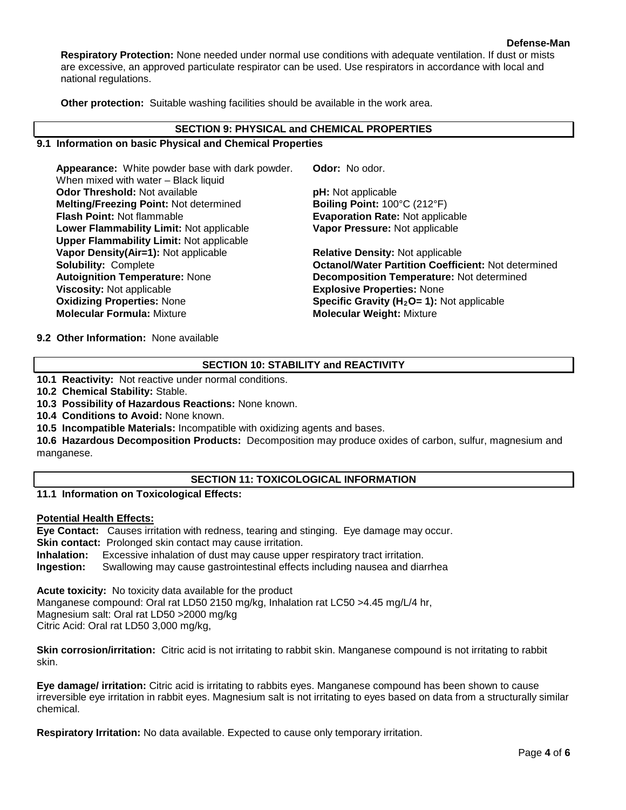**Respiratory Protection:** None needed under normal use conditions with adequate ventilation. If dust or mists are excessive, an approved particulate respirator can be used. Use respirators in accordance with local and national regulations.

**Other protection:** Suitable washing facilities should be available in the work area.

### **SECTION 9: PHYSICAL and CHEMICAL PROPERTIES**

### **9.1 Information on basic Physical and Chemical Properties**

**Appearance:** White powder base with dark powder. When mixed with water – Black liquid **Odor Threshold:** Not available **pH:** Not applicable **Melting/Freezing Point:** Not determined **Boiling Point:** 100°C (212°F) **Flash Point:** Not flammable **Evaporation Rate:** Not applicable **Lower Flammability Limit:** Not applicable **Upper Flammability Limit:** Not applicable **Vapor Density(Air=1):** Not applicable **Relative Density:** Not applicable **Autoignition Temperature:** None **Decomposition Temperature:** Not determined **Viscosity:** Not applicable **Explosive Properties:** None **Oxidizing Properties:** None **Specific Gravity (H<sub>2</sub>O= 1):** Not applicable **Molecular Weight:** Mixture **Molecular Weight:** Mixture

**Odor:** No odor.

**Vapor Pressure:** Not applicable

**Solubility:** Complete **Octanol/Water Partition Coefficient:** Not determined **Molecular Weight: Mixture** 

**9.2 Other Information:** None available

## **SECTION 10: STABILITY and REACTIVITY**

**10.1 Reactivity:** Not reactive under normal conditions.

**10.2 Chemical Stability:** Stable.

**10.3 Possibility of Hazardous Reactions:** None known.

**10.4 Conditions to Avoid:** None known.

**10.5 Incompatible Materials:** Incompatible with oxidizing agents and bases.

**10.6 Hazardous Decomposition Products:** Decomposition may produce oxides of carbon, sulfur, magnesium and manganese.

# **SECTION 11: TOXICOLOGICAL INFORMATION**

**11.1 Information on Toxicological Effects:** 

### **Potential Health Effects:**

**Eye Contact:** Causes irritation with redness, tearing and stinging. Eye damage may occur. **Skin contact:** Prolonged skin contact may cause irritation. **Inhalation:** Excessive inhalation of dust may cause upper respiratory tract irritation. **Ingestion:** Swallowing may cause gastrointestinal effects including nausea and diarrhea

**Acute toxicity:** No toxicity data available for the product Manganese compound: Oral rat LD50 2150 mg/kg, Inhalation rat LC50 >4.45 mg/L/4 hr, Magnesium salt: Oral rat LD50 >2000 mg/kg Citric Acid: Oral rat LD50 3,000 mg/kg,

**Skin corrosion/irritation:** Citric acid is not irritating to rabbit skin. Manganese compound is not irritating to rabbit skin.

**Eye damage/ irritation:** Citric acid is irritating to rabbits eyes. Manganese compound has been shown to cause irreversible eye irritation in rabbit eyes. Magnesium salt is not irritating to eyes based on data from a structurally similar chemical.

**Respiratory Irritation:** No data available. Expected to cause only temporary irritation.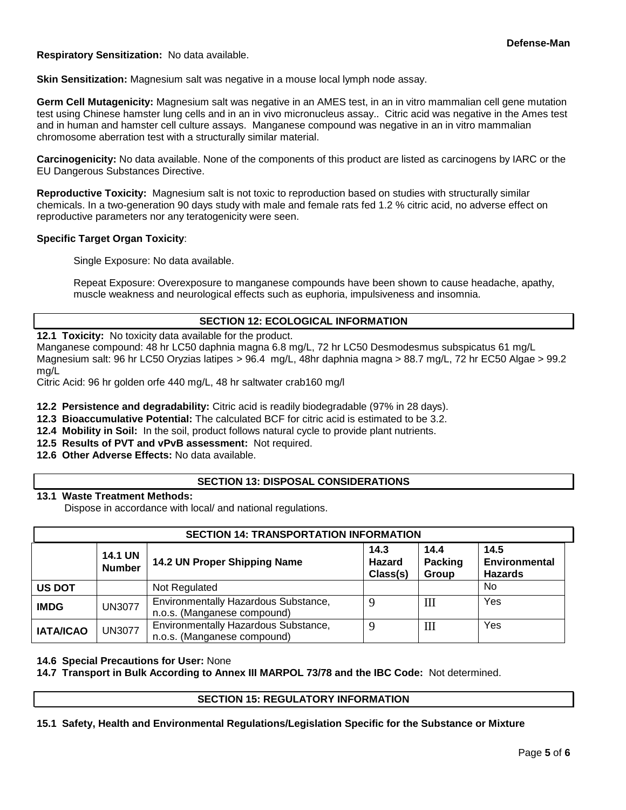**Respiratory Sensitization:** No data available.

**Skin Sensitization:** Magnesium salt was negative in a mouse local lymph node assay.

**Germ Cell Mutagenicity:** Magnesium salt was negative in an AMES test, in an in vitro mammalian cell gene mutation test using Chinese hamster lung cells and in an in vivo micronucleus assay.. Citric acid was negative in the Ames test and in human and hamster cell culture assays. Manganese compound was negative in an in vitro mammalian chromosome aberration test with a structurally similar material.

**Carcinogenicity:** No data available. None of the components of this product are listed as carcinogens by IARC or the EU Dangerous Substances Directive.

**Reproductive Toxicity:** Magnesium salt is not toxic to reproduction based on studies with structurally similar chemicals. In a two-generation 90 days study with male and female rats fed 1.2 % citric acid, no adverse effect on reproductive parameters nor any teratogenicity were seen.

### **Specific Target Organ Toxicity**:

Single Exposure: No data available.

Repeat Exposure: Overexposure to manganese compounds have been shown to cause headache, apathy, muscle weakness and neurological effects such as euphoria, impulsiveness and insomnia.

### **SECTION 12: ECOLOGICAL INFORMATION**

**12.1 Toxicity:** No toxicity data available for the product.

Manganese compound: 48 hr LC50 daphnia magna 6.8 mg/L, 72 hr LC50 Desmodesmus subspicatus 61 mg/L Magnesium salt: 96 hr LC50 Oryzias latipes > 96.4 mg/L, 48hr daphnia magna > 88.7 mg/L, 72 hr EC50 Algae > 99.2 mg/L

Citric Acid: 96 hr golden orfe 440 mg/L, 48 hr saltwater crab160 mg/l

**12.2 Persistence and degradability:** Citric acid is readily biodegradable (97% in 28 days).

- **12.3 Bioaccumulative Potential:** The calculated BCF for citric acid is estimated to be 3.2.
- **12.4 Mobility in Soil:** In the soil, product follows natural cycle to provide plant nutrients.
- **12.5 Results of PVT and vPvB assessment:** Not required.
- **12.6 Other Adverse Effects:** No data available.

### **SECTION 13: DISPOSAL CONSIDERATIONS**

### **13.1 Waste Treatment Methods:**

Dispose in accordance with local/ and national regulations.

| <b>SECTION 14: TRANSPORTATION INFORMATION</b> |                                 |                                                                     |                            |                                 |                                                |  |  |
|-----------------------------------------------|---------------------------------|---------------------------------------------------------------------|----------------------------|---------------------------------|------------------------------------------------|--|--|
|                                               | <b>14.1 UN</b><br><b>Number</b> | 14.2 UN Proper Shipping Name                                        | 14.3<br>Hazard<br>Class(s) | 14.4<br><b>Packing</b><br>Group | 14.5<br><b>Environmental</b><br><b>Hazards</b> |  |  |
| <b>US DOT</b>                                 |                                 | Not Regulated                                                       |                            |                                 | No                                             |  |  |
| <b>IMDG</b>                                   | <b>UN3077</b>                   | Environmentally Hazardous Substance,<br>n.o.s. (Manganese compound) |                            | Ш                               | Yes                                            |  |  |
| <b>IATA/ICAO</b>                              | <b>UN3077</b>                   | Environmentally Hazardous Substance,<br>n.o.s. (Manganese compound) | $\Omega$                   | III                             | Yes                                            |  |  |

### **14.6 Special Precautions for User:** None

**14.7 Transport in Bulk According to Annex III MARPOL 73/78 and the IBC Code:** Not determined.

### **SECTION 15: REGULATORY INFORMATION**

**15.1 Safety, Health and Environmental Regulations/Legislation Specific for the Substance or Mixture**